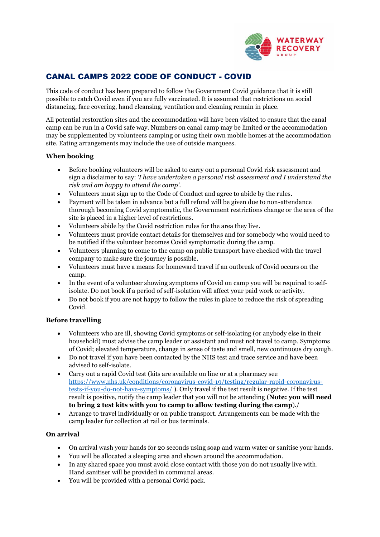

# CANAL CAMPS 2022 CODE OF CONDUCT - COVID

This code of conduct has been prepared to follow the Government Covid guidance that it is still possible to catch Covid even if you are fully vaccinated. It is assumed that restrictions on social distancing, face covering, hand cleansing, ventilation and cleaning remain in place.

All potential restoration sites and the accommodation will have been visited to ensure that the canal camp can be run in a Covid safe way. Numbers on canal camp may be limited or the accommodation may be supplemented by volunteers camping or using their own mobile homes at the accommodation site. Eating arrangements may include the use of outside marquees.

### **When booking**

- Before booking volunteers will be asked to carry out a personal Covid risk assessment and sign a disclaimer to say: *'I have undertaken a personal risk assessment and I understand the risk and am happy to attend the camp'.*
- Volunteers must sign up to the Code of Conduct and agree to abide by the rules.
- Payment will be taken in advance but a full refund will be given due to non-attendance thorough becoming Covid symptomatic, the Government restrictions change or the area of the site is placed in a higher level of restrictions.
- Volunteers abide by the Covid restriction rules for the area they live.
- Volunteers must provide contact details for themselves and for somebody who would need to be notified if the volunteer becomes Covid symptomatic during the camp.
- Volunteers planning to come to the camp on public transport have checked with the travel company to make sure the journey is possible.
- Volunteers must have a means for homeward travel if an outbreak of Covid occurs on the camp.
- In the event of a volunteer showing symptoms of Covid on camp you will be required to selfisolate. Do not book if a period of self-isolation will affect your paid work or activity.
- Do not book if you are not happy to follow the rules in place to reduce the risk of spreading Covid.

#### **Before travelling**

- Volunteers who are ill, showing Covid symptoms or self-isolating (or anybody else in their household) must advise the camp leader or assistant and must not travel to camp. Symptoms of Covid; elevated temperature, change in sense of taste and smell, new continuous dry cough.
- Do not travel if you have been contacted by the NHS test and trace service and have been advised to self-isolate.
- Carry out a rapid Covid test (kits are available on line or at a pharmacy see [https://www.nhs.uk/conditions/coronavirus-covid-19/testing/regular-rapid-coronavirus](https://www.nhs.uk/conditions/coronavirus-covid-19/testing/regular-rapid-coronavirus-tests-if-you-do-not-have-symptoms/)[tests-if-you-do-not-have-symptoms/](https://www.nhs.uk/conditions/coronavirus-covid-19/testing/regular-rapid-coronavirus-tests-if-you-do-not-have-symptoms/) ). Only travel if the test result is negative. If the test result is positive, notify the camp leader that you will not be attending (**Note: you will need to bring 2 test kits with you to camp to allow testing during the camp**)./
- Arrange to travel individually or on public transport. Arrangements can be made with the camp leader for collection at rail or bus terminals.

#### **On arrival**

- On arrival wash your hands for 20 seconds using soap and warm water or sanitise your hands.
- You will be allocated a sleeping area and shown around the accommodation.
- In any shared space you must avoid close contact with those you do not usually live with. Hand sanitiser will be provided in communal areas.
- You will be provided with a personal Covid pack.